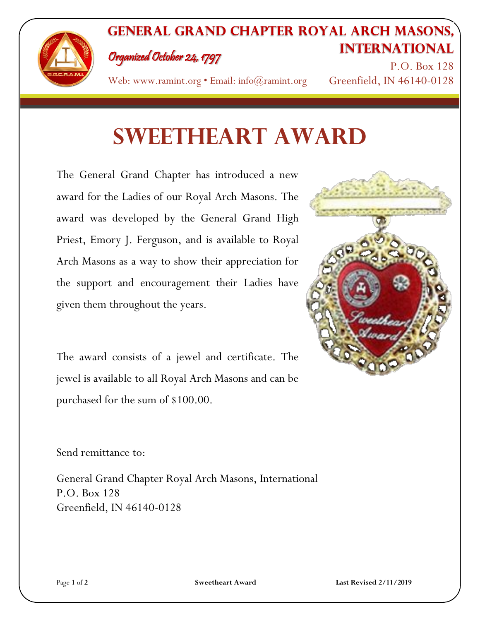

### **General Grand Chapter Royal Arch Masons, International** Organized October 24, 1797

Web: www.ramint.org • Email: info@ramint.org Greenfield, IN 46140-0128

P.O. Box 128

## **Sweetheart Award**

The General Grand Chapter has introduced a new award for the Ladies of our Royal Arch Masons. The award was developed by the General Grand High Priest, Emory J. Ferguson, and is available to Royal Arch Masons as a way to show their appreciation for the support and encouragement their Ladies have given them throughout the years.

The award consists of a jewel and certificate. The jewel is available to all Royal Arch Masons and can be purchased for the sum of \$100.00.



Send remittance to:

General Grand Chapter Royal Arch Masons, International P.O. Box 128 Greenfield, IN 46140-0128

Page **1** of **2 Sweetheart Award Last Revised 2/11/2019**